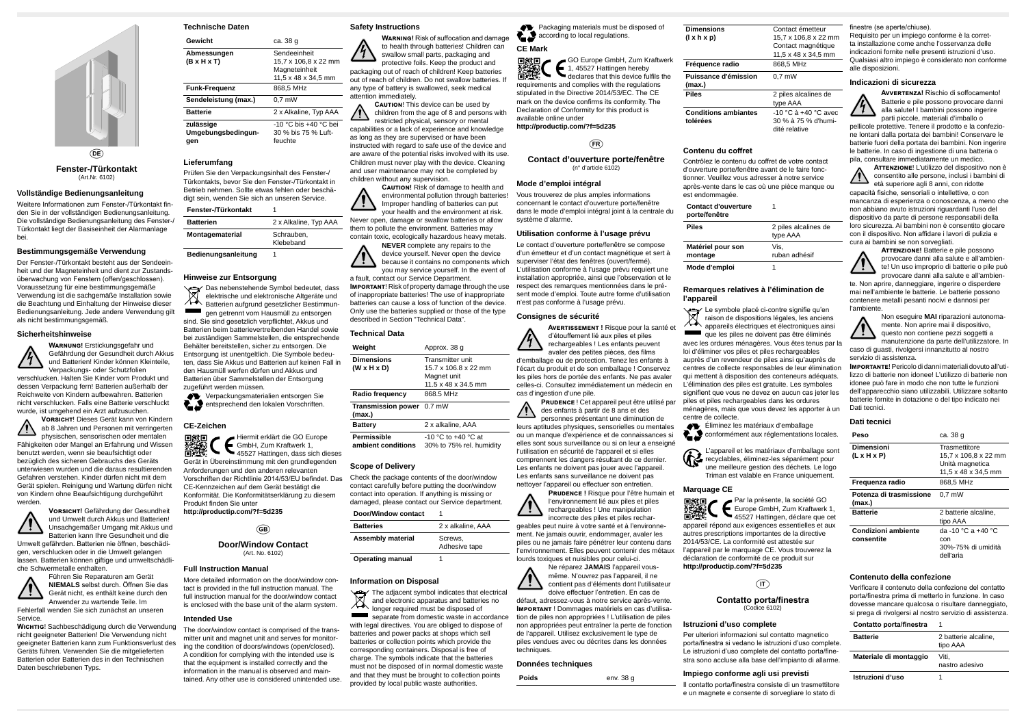

**Fenster-/Türkontakt** (Art.Nr. 6102)

#### **Vollständige Bedienungsanleitung**

Weitere Informationen zum Fenster-/Türkontakt finden Sie in der vollständigen Bedienungsanleitung. Die vollständige Bedienungsanleitung des Fenster-/ Türkontakt liegt der Basiseinheit der Alarmanlage bei.

#### **Bestimmungsgemäße Verwendung**

Der Fenster-/Türkontakt besteht aus der Sendeeinheit und der Magneteinheit und dient zur Zustandsüberwachung von Fenstern (offen/geschlossen). Voraussetzung für eine bestimmungsgemäße Verwendung ist die sachgemäße Installation sowie die Beachtung und Einhaltung der Hinweise dieser Bedienungsanleitung. Jede andere Verwendung gilt als nicht bestimmungsgemäß.

#### **Sicherheitshinweise**



verschlucken. Halten Sie Kinder vom Produkt und dessen Verpackung fern! Batterien außerhalb der Reichweite von Kindern aufbewahren. Batterien nicht verschlucken. Falls eine Batterie verschluckt wurde, ist umgehend ein Arzt aufzusuchen.

Gerät nicht, es enthält keine durch den Anwender zu wartende Teile. Im Fehlerfall wenden Sie sich zunächst an unseren **Service** 



physischen, sensorischen oder mentalen Fähigkeiten oder Mangel an Erfahrung und Wissen benutzt werden, wenn sie beaufsichtigt oder bezüglich des sicheren Gebrauchs des Geräts unterwiesen wurden und die daraus resultierenden Gefahren verstehen. Kinder dürfen nicht mit dem Gerät spielen. Reinigung und Wartung dürfen nicht von Kindern ohne Beaufsichtigung durchgeführt werden.

> **Vorsicht!** Gefährdung der Gesundheit und Umwelt durch Akkus und Batterien! Unsachgemäßer Umgang mit Akkus und



Batterien kann Ihre Gesundheit und die Umwelt gefährden. Batterien nie öffnen, beschädigen, verschlucken oder in die Umwelt gelangen lassen. Batterien können giftige und umweltschädliche Schwermetalle enthalten.

Das nebenstehende Symbol bedeutet, dass elektrische und elektronische Altgeräte und tå Batterien aufgrund gesetzlicher Bestimmungen getrennt vom Hausmüll zu entsorgen sind. Sie sind gesetzlich verpflichtet, Akkus und Batterien beim batterievertreibenden Handel sowie bei zuständigen Sammelstellen, die entsprechende Behälter bereitstellen, sicher zu entsorgen. Die Entsorgung ist unentgeltlich. Die Symbole bedeuten, dass Sie Akkus und Batterien auf keinen Fall in den Hausmüll werfen dürfen und Akkus und Batterien über Sammelstellen der Entsorgung zugeführt werden müssen.

Verpackungsmaterialien entsorgen Sie entsprechend den lokalen Vorschriften.

Führen Sie Reparaturen am Gerät **NIEMALS** selbst durch. Öffnen Sie das



**Wichtig**! Sachbeschädigung durch die Verwendung nicht geeigneter Batterien! Die Verwendung nicht geeigneter Batterien kann zum Funktionsverlust des Geräts führen. Verwenden Sie die mitgelieferten Batterien oder Batterien des in den Technischen Daten beschriebenen Typs.

## **Technische Daten**

| Gewicht                                | ca. 38 g                                                                     |
|----------------------------------------|------------------------------------------------------------------------------|
| Abmessungen<br>(B x H x T)             | Sendeeinheit<br>15,7 x 106,8 x 22 mm<br>Magneteinheit<br>11,5 x 48 x 34,5 mm |
| Funk-Frequenz                          | 868.5 MHz                                                                    |
| Sendeleistung (max.)                   | $0.7$ mW                                                                     |
| Batterie                               | 2 x Alkaline, Typ AAA                                                        |
| zulässige<br>Umgebungsbedingun-<br>qen | -10 °C bis +40 °C bei<br>30 % bis 75 % Luft-<br>feuchte                      |

**CAUTION!** This device can be used by children from the age of 8 and persons with restricted physical, sensory or mental

### **Lieferumfang**

Prüfen Sie den Verpackungsinhalt des Fenster-/ Türkontakts, bevor Sie den Fenster-/Türkontakt in Betrieb nehmen. Sollte etwas fehlen oder beschädigt sein, wenden Sie sich an unseren Service.

| Fenster-/Türkontakt    |                         |
|------------------------|-------------------------|
| <b>Batterien</b>       | 2 x Alkaline, Typ AAA   |
| <b>Montagematerial</b> | Schrauben.<br>Klebeband |
|                        |                         |

**Bedienungsanleitung** 1

### **Hinweise zur Entsorgung**

#### **CE-Zeichen**

separate from domestic waste in accordance with legal directives. You are obliged to dispose of batteries and power packs at shops which sell batteries or collection points which provide the corresponding containers. Disposal is free of charge. The symbols indicate that the batteries must not be disposed of in normal domestic waste and that they must be brought to collection points provided by local public waste authorities.

**Packaging materials must be disposed of A** according to local regulations.

Hiermit erklärt die GO Europe GmbH, Zum Kraftwerk 1, **LEIVER** 45527 Hattingen, dass sich dieses Gerät in Übereinstimmung mit den grundlegenden Anforderungen und den anderen relevanten Vorschriften der Richtlinie 2014/53/EU befindet. Das CE-Kennzeichen auf dem Gerät bestätigt die Konformität. Die Konformitätserklärung zu diesem Produkt finden Sie unter

**http://productip.com/?f=5d235**

### $\binom{GB}{}$

#### **Door/Window Contact** (Art. No. 6102)

#### **Full Instruction Manual**

More detailed information on the door/window contact is provided in the full instruction manual. The full instruction manual for the door/window contact is enclosed with the base unit of the alarm system.

#### **Intended Use**

The door/window contact is comprised of the transmitter unit and magnet unit and serves for monitoring the condition of doors/windows (open/closed). A condition for complying with the intended use is that the equipment is installed correctly and the information in the manual is observed and maintained. Any other use is considered unintended use.

#### **Safety Instructions**

**Warning!** Risk of suffocation and damage to health through batteries! Children can swallow small parts, packaging and protective foils. Keep the product and packaging out of reach of children! Keep batteries out of reach of children. Do not swallow batteries. If any type of battery is swallowed, seek medical attention immediately.

capabilities or a lack of experience and knowledge as long as they are supervised or have been instructed with regard to safe use of the device and are aware of the potential risks involved with its use. Children must never play with the device. Cleaning and user maintenance may not be completed by children without any supervision.

> **Caution!** Risk of damage to health and environmental pollution through batteries! Improper handling of batteries can put your health and the environment at risk.

Never open, damage or swallow batteries or allow them to pollute the environment. Batteries may contain toxic, ecologically hazardous heavy metals. **NEVER** complete any repairs to the

> Éliminez les matériaux d'emballage conformément aux réglementations locales.

device yourself. Never open the device because it contains no components which you may service yourself. In the event of

a fault, contact our Service Department. **Important**! Risk of property damage through the use of inappropriate batteries! The use of inappropriate batteries can cause a loss of function of the device. Only use the batteries supplied or those of the type described in Section "Technical Data".

### **Technical Data**

| Weight                                       | Approx. 38 q                                                                                      |
|----------------------------------------------|---------------------------------------------------------------------------------------------------|
| <b>Dimensions</b><br>$(W \times H \times D)$ | <b>Transmitter unit</b><br>15.7 x 106.8 x 22 mm<br>Magnet unit<br>$11.5 \times 48 \times 34.5$ mm |
| Radio frequency                              | 868.5 MHz                                                                                         |
| <b>Transmission power</b> 0.7 mW<br>(max.)   |                                                                                                   |
| <b>Battery</b>                               | 2 x alkaline, AAA                                                                                 |
| <b>Permissible</b><br>ambient conditions     | $-10$ °C to $+40$ °C at<br>30% to 75% rel. humidity                                               |

### **Scope of Delivery**

Check the package contents of the door/window contact carefully before putting the door/window contact into operation. If anything is missing or damaged, please contact our Service department.

| Door/Window contact |  |  |
|---------------------|--|--|
|---------------------|--|--|

| <b>Batteries</b>         | 2 x alkaline, AAA        |
|--------------------------|--------------------------|
| <b>Assembly material</b> | Screws.<br>Adhesive tape |
|                          |                          |

### **Operating manual**

#### **Information on Disposal**

The adjacent symbol indicates that electrical and electronic apparatus and batteries no longer required must be disposed of

**ATTENZIONE!** Batterie e pile possono provocare danni alla salute e all'ambiente! Un uso improprio di batterie o pile può provocare danni alla salute e all'ambien-

Le symbole placé ci-contre signifie qu'en raison de dispositions légales, les anciens appareils électriques et électroniques ainsi que les piles ne doivent pas être éliminés avec les ordures ménagères. Vous êtes tenus par la loi d'éliminer vos piles et piles rechargeables auprès d'un revendeur de piles ainsi qu'auprès de centres de collecte responsables de leur élimination qui mettent à disposition des conteneurs adéquats. L'élimination des piles est gratuite. Les symboles signifient que vous ne devez en aucun cas jeter les piles et piles rechargeables dans les ordures ménagères, mais que vous devez les apporter à un centre de collecte. l'ambiente. Non eseguire **MAI** riparazioni autonomamente. Non aprire mai il dispositivo, questo non contiene pezzi soggetti a manutenzione da parte dell'utilizzatore. In caso di guasti, rivolgersi innanzitutto al nostro servizio di assistenza. **Importante**! Pericolo di danni materiali dovuto all'utilizzo di batterie non idonee! L'utilizzo di batterie non idonee può fare in modo che non tutte le funzioni dell'apparecchio siano utilizzabili. Utilizzare soltanto batterie fornite in dotazione o del tipo indicato nei Dati tecnici.

### **CE Mark**

GO Europe GmbH, Zum Kraftwerk 1, 45527 Hattingen hereby declares that this device fulfils the requirements and complies with the regulations stipulated in the Directive 2014/53/EC. The CE mark on the device confirms its conformity. The Declaration of Conformity for this product is available online under **http://productip.com/?f=5d235**

# $(FR)$

**Contact d'ouverture porte/fenêtre** (n° d'article 6102)

#### **Mode d'emploi intégral**

Vous trouverez de plus amples informations concernant le contact d'ouverture porte/fenêtre dans le mode d'emploi intégral joint à la centrale du système d'alarme.

#### **Utilisation conforme à l'usage prévu**

Le contact d'ouverture porte/fenêtre se compose d'un émetteur et d'un contact magnétique et sert à superviser l'état des fenêtres (ouvert/fermé). L'utilisation conforme à l'usage prévu requiert une installation appropriée, ainsi que l'observation et le respect des remarques mentionnées dans le présent mode d'emploi. Toute autre forme d'utilisation n'est pas conforme à l'usage prévu.

#### **Consignes de sécurité**



**Avertissement !** Risque pour la santé et d'étouffement lié aux piles et piles rechargeables ! Les enfants peuvent avaler des petites pièces, des films

d'emballage ou de protection. Tenez les enfants à l'écart du produit et de son emballage ! Conservez les piles hors de portée des enfants. Ne pas avaler celles-ci. Consultez immédiatement un médecin en cas d'ingestion d'une pile.

**Prudence** ! Cet appareil peut être utilisé par des enfants à partir de 8 ans et des personnes présentant une diminution de leurs aptitudes physiques, sensorielles ou mentales ou un manque d'expérience et de connaissances si elles sont sous surveillance ou si on leur a enseigné l'utilisation en sécurité de l'appareil et si elles comprennent les dangers résultant de ce dernier. Les enfants ne doivent pas jouer avec l'appareil. Les enfants sans surveillance ne doivent pas nettoyer l'appareil ou effectuer son entretien.

**Prudence !** Risque pour l'être humain et l'environnement lié aux piles et piles rechargeables ! Une manipulation incorrecte des piles et piles rechargeables peut nuire à votre santé et à l'environnement. Ne jamais ouvrir, endommager, avaler les



l'environnement. Elles peuvent contenir des métaux lourds toxiques et nuisibles pour celui-ci.





même. N'ouvrez pas l'appareil, il ne contient pas d'éléments dont l'utilisateur doive effectuer l'entretien. En cas de

défaut, adressez-vous à notre service après-vente. **Important** ! Dommages matériels en cas d'utilisation de piles non appropriées ! L'utilisation de piles non appropriées peut entraîner la perte de fonction de l'appareil. Utilisez exclusivement le type de piles vendues avec ou décrites dans les données techniques.

### **Données techniques**

Poids env. 38 g

**Dimensions (l x h x p)** Contact émetteur 15,7 x 106,8 x 22 mm Contact magnétique 11,5 x 48 x 34,5 mm **Fréquence radio** 868,5 MHz **Puissance d'émission (max.)**  $\overline{0,7}$  mW **Piles** 2 piles alcalines de type AAA **Conditions ambiantes tolérées** -10 °C à +40 °C avec

30 % à 75 % d'humidité relative

**Contenu du coffret**

Contrôlez le contenu du coffret de votre contact d'ouverture porte/fenêtre avant de le faire fonctionner. Veuillez vous adresser à notre service après-vente dans le cas où une pièce manque ou est endommagée.

| <b>Contact d'ouverture</b><br>porte/fenêtre |    |
|---------------------------------------------|----|
| Piles                                       | 2  |
|                                             | t١ |
| Matériel pour son                           |    |
| montage                                     | rı |
| Mode d'emploi                               |    |

**Piles** 2 piles alcalines de type AAA Vis, ruban adhésif

#### **Remarques relatives à l'élimination de l'appareil**

L'appareil et les matériaux d'emballage sont recyclables, éliminez-les séparément pour une meilleure gestion des déchets. Le logo

Triman est valable en France uniquement.

### **Marquage CE**



Par la présente, la société GO 器機 Europe GmbH, Zum Kraftwerk 1, 45527 Hattingen, déclare que cet appareil répond aux exigences essentielles et aux autres prescriptions importantes de la directive 2014/53/CE. La conformité est attestée sur l'appareil par le marquage CE. Vous trouverez la déclaration de conformité de ce produit sur **http://productip.com/?f=5d235**

 $(\overline{\mathsf{I}})$ 

#### **Contatto porta/finestra** (Codice 6102)

## **Istruzioni d'uso complete**

Per ulteriori informazioni sul contatto magnetico porta/finestra si vedano le istruzioni d'uso complete. Le istruzioni d'uso complete del contatto porta/finestra sono accluse alla base dell'impianto di allarme.

## **Impiego conforme agli usi previsti**

Il contatto porta/finestra consiste di un trasmettitore e un magnete e consente di sorvegliare lo stato di

### finestre (se aperte/chiuse).

Requisito per un impiego conforme è la corretta installazione come anche l'osservanza delle indicazioni fornite nelle presenti istruzioni d'uso. Qualsiasi altro impiego è considerato non conforme alle disposizioni.

### **Indicazioni di sicurezza**



**Avvertenza!** Rischio di soffocamento! Batterie e pile possono provocare danni alla salute! I bambini possono ingerire parti piccole, materiali d'imballo o

pellicole protettive. Tenere il prodotto e la confezione lontani dalla portata dei bambini! Conservare le batterie fuori della portata dei bambini. Non ingerire le batterie. In caso di ingestione di una batteria o pila, consultare immediatamente un medico.

**Attenzione**! L'utilizzo del dispositivo non è consentito alle persone, inclusi i bambini di età superiore agli 8 anni, con ridotte capacità fisiche, sensoriali o intellettive, o con mancanza di esperienza o conoscenza, a meno che non abbiano avuto istruzioni riguardanti l'uso del dispositivo da parte di persone responsabili della

loro sicurezza. Ai bambini non è consentito giocare con il dispositivo. Non affidare i lavori di pulizia e cura ai bambini se non sorvegliati.



te. Non aprire, danneggiare, ingerire o disperdere mai nell'ambiente le batterie. Le batterie possono contenere metalli pesanti nocivi e dannosi per



### **Dati tecnici**

| Peso                                     | ca. 38 g                                                                        |
|------------------------------------------|---------------------------------------------------------------------------------|
| Dimensioni<br>$(L \times H \times P)$    | Trasmettitore<br>15,7 x 106,8 x 22 mm<br>Unità magnetica<br>11.5 x 48 x 34.5 mm |
| Frequenza radio                          | 868,5 MHz                                                                       |
| Potenza di trasmissione<br>(max.)        | $0.7$ mW                                                                        |
| <b>Batterie</b>                          | 2 batterie alcaline.<br>tipo AAA                                                |
| <b>Condizioni ambiente</b><br>consentite | da -10 °C a +40 °C<br>con<br>30%-75% di umidità<br>dell'aria                    |

### **Contenuto della confezione**

Verificare il contenuto della confezione del contatto porta/finestra prima di metterlo in funzione. In caso dovesse mancare qualcosa o risultare danneggiato, si prega di rivolgersi al nostro servizio di assistenza.

### **Contatto porta/finestra** 1

| <b>Batterie</b>        | 2 batterie alcaline,<br>tipo AAA |
|------------------------|----------------------------------|
| Materiale di montaggio | Viti.<br>nastro adesivo          |
| Istruzioni d'uso       |                                  |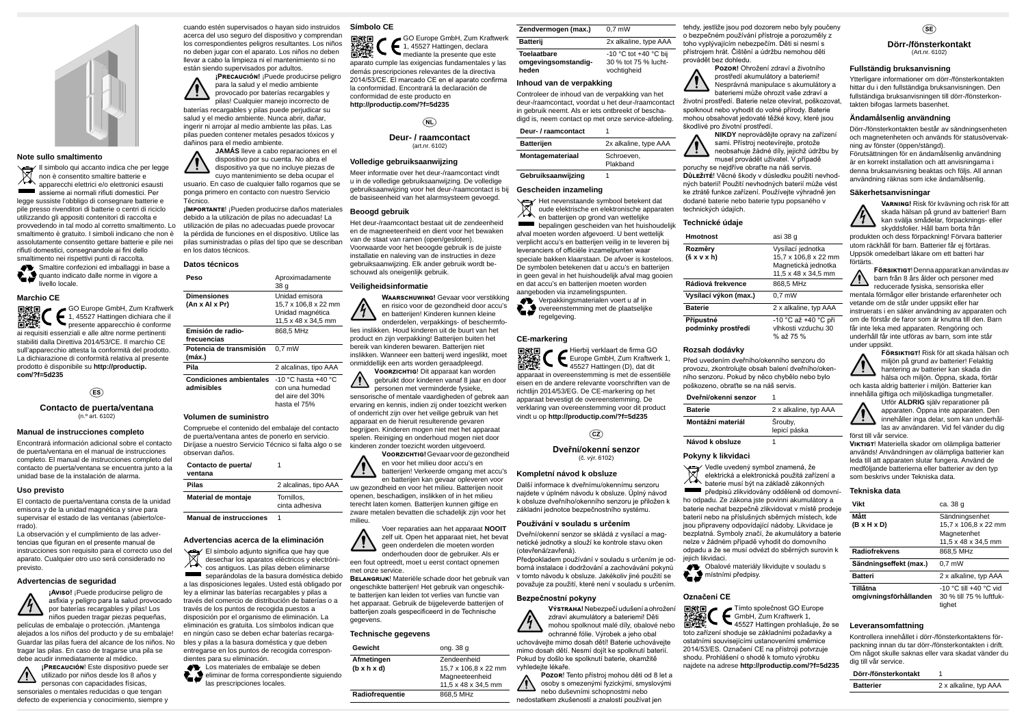

#### **Note sullo smaltimento**

Il simbolo qui accanto indica che per legge non è consentito smaltire batterie e apparecchi elettrici e/o elettronici esausti assieme ai normali rifiuti domestici. Per legge sussiste l'obbligo di consegnare batterie e pile presso rivenditori di batterie o centri di riciclo utilizzando gli appositi contenitori di raccolta e provvedendo in tal modo al corretto smaltimento. Lo smaltimento è gratuito. I simboli indicano che non è assolutamente consentito gettare batterie e pile nei rifiuti domestici, consegnandole ai fini dello smaltimento nei rispettivi punti di raccolta.

Smaltire confezioni ed imballaggi in base a quanto indicato dalle norme in vigore a livello locale.

同致同 GO Europe GmbH, Zum Kraftwerk 1, 45527 Hattingen dichiara che il presente apparecchio è conforme ai requisiti essenziali e alle altre norme pertinenti stabiliti dalla Direttiva 2014/53/CE. Il marchio CE sull'apparecchio attesta la conformità del prodotto. La dichiarazione di conformità relativa al presente prodotto è disponibile su **http://productip. com/?f=5d235**

### $(ES)$

#### **Marchio CE**

**Contacto de puerta/ventana** (n.º art. 6102)

#### **Manual de instrucciones completo**

Encontrará información adicional sobre el contacto de puerta/ventana en el manual de instrucciones completo. El manual de instrucciones completo del contacto de puerta/ventana se encuentra junto a la unidad base de la instalación de alarma.

#### **Uso previsto**

El contacto de puerta/ventana consta de la unidad emisora y de la unidad magnética y sirve para supervisar el estado de las ventanas (abierto/cerrado).

La observación y el cumplimiento de las advertencias que figuran en el presente manual de instrucciones son requisito para el correcto uso del aparato. Cualquier otro uso será considerado no previsto.

#### **Advertencias de seguridad**



niños pueden tragar piezas pequeñas, películas de embalaje o protección. ¡Mantenga alejados a los niños del producto y de su embalaje! Guardar las pilas fuera del alcance de los niños. No tragar las pilas. En caso de tragarse una pila se debe acudir inmediatamente al médico.

**¡Precaución**! Este dispositivo puede ser utilizado por niños desde los 8 años y personas con capacidades físicas, sensoriales o mentales reducidas o que tengan defecto de experiencia y conocimiento, siempre y

**AV** Los materiales de embalaje se deben £S eliminar de forma correspondiente siguiendo las prescripciones locales.

cuando estén supervisados o hayan sido instruidos acerca del uso seguro del dispositivo y comprendan los correspondientes peligros resultantes. Los niños no deben jugar con el aparato. Los niños no deben llevar a cabo la limpieza ni el mantenimiento si no están siendo supervisados por adultos.

**¡Precaución!** ¡Puede producirse peligro para la salud y el medio ambiente provocado por baterías recargables y pilas! Cualquier manejo incorrecto de baterías recargables y pilas puede perjudicar su salud y el medio ambiente. Nunca abrir, dañar, ingerir ni arrojar al medio ambiente las pilas. Las pilas pueden contener metales pesados tóxicos y dañinos para el medio ambiente.

**JAMÁS** lleve a cabo reparaciones en el dispositivo por su cuenta. No abra el dispositivo ya que no incluye piezas de

cuyo mantenimiento se deba ocupar el usuario. En caso de cualquier fallo rogamos que se ponga primero en contacto con nuestro Servicio Técnico.

**¡Importante**! ¡Pueden producirse daños materiales debido a la utilización de pilas no adecuadas! La utilización de pilas no adecuadas puede provocar la pérdida de funciones en el dispositivo. Utilice las pilas suministradas o pilas del tipo que se describan en los datos técnicos.

#### **Datos técnicos**

milieu. Voer reparaties aan het apparaat **NOOIT** zelf uit. Open het apparaat niet, het bevat geen onderdelen onderhouden dog een fout optreedt, moet u e

met onze service. **BELANGRIJK!** Materiële sch

| Peso                                         | Aproximadamente<br>38 q                                                           |
|----------------------------------------------|-----------------------------------------------------------------------------------|
| <b>Dimensiones</b><br>(An x Al x Pr)         | Unidad emisora<br>15,7 x 106,8 x 22 mm<br>Unidad magnética<br>11,5 x 48 x 34,5 mm |
| Emisión de radio-<br>frecuencias             | 868,5 MHz                                                                         |
| Potencia de transmisión<br>(máx.)            | $0.7$ mW                                                                          |
| Pila                                         | 2 alcalinas, tipo AAA                                                             |
| <b>Condiciones ambientales</b><br>admisibles | -10 °C hasta +40 °C<br>con una humedad<br>del aire del 30%<br>hasta el 75%        |
| Volumen de suministro                        |                                                                                   |

Compruebe el contenido del embalaje del contacto de puerta/ventana antes de ponerlo en servicio. Diríjase a nuestro Servicio Técnico si falta algo o se observan daños.

**Contacto de puerta/**

1

| ventana             |                              |
|---------------------|------------------------------|
| Pilas               | 2 alcalinas, tipo AAA        |
| Material de montaje | Tornillos.<br>cinta adhesiva |
|                     |                              |

**Manual de instrucciones** 1

### **Advertencias acerca de la eliminación**

Het nevenstaande symbool betekent dat oude elektrische en elektronische apparaten en batterijen op grond van wettelijke bepalingen gescheiden van het huishoudelijk afval moeten worden afgevoerd. U bent wettelijk verplicht accu's en batterijen veilig in te leveren bij leveranciers of officiële inzamelpunten waar speciale bakken klaarstaan. De afvoer is kosteloos. De symbolen betekenen dat u accu's en batterijen in geen geval in het huishoudelijk afval mag gooien en dat accu's en batterijen moeten worden aangeboden via inzamelingspunten.

Verpakkingsmaterialen voert u af in overeenstemming met de plaatselijke regelgeving.

El símbolo adjunto significa que hay que desechar los aparatos eléctricos y electrónicos antiguos. Las pilas deben eliminarse separándolas de la basura doméstica debido a las disposiciones legales. Usted está obligado por ley a eliminar las baterías recargables y pilas a través del comercio de distribución de baterías o a través de los puntos de recogida puestos a disposición por el organismo de eliminación. La eliminación es gratuita. Los símbolos indican que en ningún caso se deben echar baterías recargables y pilas a la basura doméstica y que deben entregarse en los puntos de recogida correspondientes para su eliminación.

Dveřní/okenní senzor se skládá z vysílací a magnetické jednotky a slouží ke kontrole stavu oken  $v$ řená).

em používání v souladu s určením je odace i dodržování a zachovávání pokynů odu k obsluze. Jakékoliv jiné použití se považuje za použití, které není v souladu s určením.

#### **Símbolo CE**

GO Europe GmbH, Zum Kraftwerk 箭攤 1, 45527 Hattingen, declara mediante la presente que este aparato cumple las exigencias fundamentales y las demás prescripciones relevantes de la directiva 2014/53/CE. El marcado CE en el aparato confirma la conformidad. Encontrará la declaración de conformidad de este producto en **http://productip.com/?f=5d235**

 $\widehat{\mathsf{NL}}$ 

**Deur- / raamcontact** (art.nr. 6102)

#### **Volledige gebruiksaanwijzing**

Meer informatie over het deur-/raamcontact vindt u in de volledige gebruiksaanwijzing. De volledige gebruiksaanwijzing voor het deur-/raamcontact is bij de basiseenheid van het alarmsysteem gevoegd.

#### **Beoogd gebruik**

Het deur-/raamcontact bestaat uit de zendeenheid en de magneeteenheid en dient voor het bewaken van de staat van ramen (open/gesloten). Voorwaarde voor het beoogde gebruik is de juiste installatie en naleving van de instructies in deze gebruiksaanwijzing. Elk ander gebruik wordt beschouwd als oneigenlijk gebruik.

#### **Veiligheidsinformatie**

**Waarschuwing!** Gevaar voor verstikking en risico voor de gezondheid door accu's en batterijen! Kinderen kunnen kleine onderdelen, verpakkings- of beschermfolies inslikken. Houd kinderen uit de buurt van het product en zijn verpakking! Batterijen buiten het bereik van kinderen bewaren. Batterijen niet inslikken. Wanneer een batterij werd ingeslikt, moet onmiddellijk een arts worden geraadpleegd.

> jejich likvidaci. **Obalové materiály likvidujte v souladu s** místními předpisy.

**Voorzichtig**! Dit apparaat kan worden gebruikt door kinderen vanaf 8 jaar en door personen met verminderde fysieke, sensorische of mentale vaardigheden of gebrek aan ervaring en kennis, indien zij onder toezicht werken of onderricht zijn over het veilige gebruik van het apparaat en de hieruit resulterende gevaren begrijpen. Kinderen mogen niet met het apparaat spelen. Reiniging en onderhoud mogen niet door kinderen zonder toezicht worden uitgevoerd.

**Voorzichtig!** Gevaar voor de gezondheid en voor het milieu door accu's en

batterijen! Verkeerde omgang met accu's en batterijen kan gevaar opleveren voor uw gezondheid en voor het milieu. Batterijen nooit openen, beschadigen, inslikken of in het milieu terecht laten komen. Batterijen kunnen giftige en zware metalen bevatten die schadelijk zijn voor het

ongeschikte batterijen! Het gebruik van ongeschikte batterijen kan leiden tot verlies van functie van het apparaat. Gebruik de bijgeleverde batterijen of batterijen zoals gespecificeerd in de Technische gegevens.

#### **Technische gegevens**

| Gewicht         | ong. 38 g            |
|-----------------|----------------------|
| Afmetingen      | Zendeenheid          |
| (b x h x d)     | 15.7 x 106.8 x 22 mm |
|                 | Magneeteenheid       |
|                 | 11,5 x 48 x 34,5 mm  |
| Radiofrequentie | 868.5 MHz            |

| Zendvermogen (max.) | $0.7$ mW                  |
|---------------------|---------------------------|
| Batterij            | 2x alkaline, type AAA     |
| Toelaatbare         | $-10$ °C tot $+40$ °C bij |

| Toelaatbare         | -10 °C tot +40 °C bij |
|---------------------|-----------------------|
| omgevingsomstandig- | 30 % tot 75 % lucht-  |
| heden               | vochtigheid           |

#### **Inhoud van de verpakking**

Controleer de inhoud van de verpakking van het deur-/raamcontact, voordat u het deur-/raamcontact in gebruik neemt. Als er iets ontbreekt of beschadigd is, neem contact op met onze service-afdeling.

| Deur- / raamcontact |                        |  |
|---------------------|------------------------|--|
| <b>Batterijen</b>   | 2x alkaline, type AAA  |  |
| Montagemateriaal    | Schroeven.<br>Plakband |  |
|                     |                        |  |

## **Gebruiksaanwijzing** 1 **Gescheiden inzameling**

#### **CE-markering**

Hierbij verklaart de firma GO Europe GmbH, Zum Kraftwerk 1, 45527 Hattingen (D), dat dit apparaat in overeenstemming is met de essentiële eisen en de andere relevante voorschriften van de richtlijn 2014/53/EG. De CE-markering op het apparaat bevestigt de overeenstemming. De verklaring van overeenstemming voor dit product vindt u op **http://productip.com/?f=5d235**

### $\binom{c}{z}$

#### **Dveřní/okenní senzor** (č. výr. 6102)

#### **Kompletní návod k obsluze**

Další informace k dveřnímu/okennímu senzoru najdete v úplném návodu k obsluze. Úplný návod k obsluze dveřního/okenního senzoru je přiložen k základní jednotce bezpečnostního systému.

#### **Používání v souladu s určením**

#### **Bezpečnostní pokyny**

**Výstraha!** Nebezpečí udušení a ohrožení zdraví akumulátory a bateriemi! Děti mohou spolknout malé díly, obalové nebo ochranné fólie. Výrobek a jeho obal uchovávejte mimo dosah dětí! Baterie uchovávejte mimo dosah dětí. Nesmí dojít ke spolknutí baterií. Pokud by došlo ke spolknutí baterie, okamžitě vyhledejte lékaře.

**Pozor**! Tento přístroj mohou děti od 8 let a osoby s omezenými fyzickými, smyslovými nebo duševními schopnostmi nebo nedostatkem zkušeností a znalostí používat jen

tehdy, jestliže jsou pod dozorem nebo byly poučeny o bezpečném používání přístroje a porozuměly z toho vyplývajícím nebezpečím. Děti si nesmí s přístrojem hrát. Čištění a údržbu nemohou děti

provádět bez dohledu.

**Pozor!** Ohrožení zdraví a životního prostředí akumulátory a bateriemi! Nesprávná manipulace s akumulátory a mohou obsahovat jedovaté těžké kovy, které jsou

bateriemi může ohrozit vaše zdraví a životní prostředí. Baterie nelze otevírat, poškozovat, spolknout nebo vyhodit do volné přírody. Baterie

škodlivé pro životní prostředí. sami. Přístroj neotevírejte, protože

**NIKDY** neprovádějte opravy na zařízení neobsahuje žádné díly, jejichž údržbu by

musel provádět uživatel. V případě poruchy se nejdříve obraťte na náš servis. **Důležité**! Věcné škody v důsledku použití nevhodných baterií! Použití nevhodných baterií může vést ke ztrátě funkce zařízení. Používejte výhradně jen dodané baterie nebo baterie typu popsaného v technických údajích.

**Technické údaje**

**Hmotnost** asi 38 g

Vysílací jednotka 15,7 x 106,8 x 22 mm Magnetická jednotka  $11.5 \times 48 \times 34.5 \text{ mm}$ **Rádiová frekvence** 868,5 MHz

| Hmotnost              | a  |
|-----------------------|----|
| Rozměry               | V  |
| (šxvxh)               |    |
|                       | N  |
|                       | 1  |
| Rádiová frekvence     | 8  |
| Vysílací výkon (max.) | 0  |
| <b>Baterie</b>        | 2  |
| Přípustné             | J. |
| podmínky prostředí    | v  |
|                       | n. |

**Vysílací výkon (max.)** 0,7 mW

**x alkaline, typ AAA** 

-10 °C až +40 °C při vlhkosti vzduchu 30 % až 75 %

# $\mathsf{SE}$

#### **Rozsah dodávky**

Před uvedením dveřního/okenního senzoru do provozu, zkontrolujte obsah balení dveřního/okenního senzoru. Pokud by něco chybělo nebo bylo poškozeno, obraťte se na náš servis.

| Dveřní/okenní senzor |                         |
|----------------------|-------------------------|
| <b>Baterie</b>       | 2 x alkaline, typ AAA   |
| Montážní materiál    | Šrouby,<br>lepicí páska |

# **Návod k obsluze**

### **Pokyny k likvidaci**

Vedle uvedený symbol znamená, že elektrická a elektronická použitá zařízení a baterie musí být na základě zákonných předpisů zlikvidovány odděleně od domovního odpadu. Ze zákona jste povinni akumulátory a baterie nechat bezpečně zlikvidovat v místě prodeje baterií nebo na příslušných sběrných místech, kde jsou připraveny odpovídající nádoby. Likvidace je bezplatná. Symboly značí, že akumulátory a baterie nelze v žádném případě vyhodit do domovního odpadu a že se musí odvézt do sběrných surovin k

#### **Označení CE**

Tímto společnost GO Europe 籪 GmbH, Zum Kraftwerk 1, 45527 Hattingen prohlašuje, že se toto zařízení shoduje se základními požadavky a ostatními souvisejícími ustanoveními směrnice 2014/53/ES. Označení CE na přístroji potvrzuje shodu. Prohlášení o shodě k tomuto výrobku najdete na adrese **http://productip.com/?f=5d235**

| die moeten worden        | neticke jedno |
|--------------------------|---------------|
| or de gebruiker. Als er  | (otevřená/za  |
| erst contact opnemen     | Předpoklade   |
|                          | borná instala |
| ade door het gebruik van | v tomto návo  |
|                          |               |

**Dörr-/fönsterkontakt** (Art.nr. 6102)

### **Fullständig bruksanvisning**

Ytterligare informationer om dörr-/fönsterkontakten hittar du i den fullständiga bruksanvisningen. Den fullständiga bruksanvisningen till dörr-/fönsterkontakten bifogas larmets basenhet.

### **Ändamålsenlig användning**

Dörr-/fönsterkontakten består av sändningsenheten och magnetenheten och används för statusövervakning av fönster (öppen/stängd).

Förutsättningen för en ändamålsenlig användning är en korrekt installation och att anvisningarna i denna bruksanvisning beaktas och följs. All annan användning räknas som icke ändamålsenlig.

### **Säkerhetsanvisningar**



**Varning!** Risk för kvävning och risk för att skada hälsan på grund av batterier! Barn kan svälja smådelar, förpacknings- eller skyddsfolier. Håll barn borta från

produkten och dess förpackning! Förvara batterier utom räckhåll för barn. Batterier får ej förtäras. Uppsök omedelbart läkare om ett batteri har förtärts.



**Försiktigt**! Denna apparat kan användas av barn från 8 års ålder och personer med reducerade fysiska, sensoriska eller mentala förmågor eller bristande erfarenheter och vetande om de står under uppsikt eller har instruerats i en säker användning av apparaten och om de förstår de faror som är knutna till den. Barn får inte leka med apparaten. Rengöring och underhåll får inte utföras av barn, som inte står under uppsikt.



**Försiktigt!** Risk för att skada hälsan och miljön på grund av batterier! Felaktig hantering av batterier kan skada din hälsa och miljön. Öppna, skada, förtär och kasta aldrig batterier i miljön. Batterier kan innehålla giftiga och miljöskadliga tungmetaller.



Utför **ALDRIG** själv reparationer på apparaten. Öppna inte apparaten. Den innehåller inga delar, som kan underhållas av användaren. Vid fel vänder du dig först till vår service.

**Viktigt**! Materiella skador om olämpliga batterier används! Användningen av olämpliga batterier kan leda till att apparaten slutar fungera. Använd de medföljande batterierna eller batterier av den typ som beskrivs under Tekniska data.

### **Tekniska data**

| Vikt                               | ca. 38 g                                                                     |
|------------------------------------|------------------------------------------------------------------------------|
| Mått<br>$(B \times H \times D)$    | Sändningsenhet<br>15,7 x 106,8 x 22 mm<br>Magnetenhet<br>11.5 x 48 x 34.5 mm |
| <b>Radiofrekvens</b>               | 868,5 MHz                                                                    |
| Sändningseffekt (max.)             | $0.7$ mW                                                                     |
| <b>Batteri</b>                     | 2 x alkaline, typ AAA                                                        |
| Tillåtna<br>omgivningsförhållanden | -10 °C till +40 °C vid<br>30 % till 75 % luftfuk-<br>tighet                  |

### **Leveransomfattning**

Kontrollera innehållet i dörr-/fönsterkontaktens förpackning innan du tar dörr-/fönsterkontakten i drift. Om något skulle saknas eller vara skadat vänder du dig till vår service.

| Dörr-/fönsterkontakt |                       |
|----------------------|-----------------------|
| <b>Batterier</b>     | 2 x alkaline, typ AAA |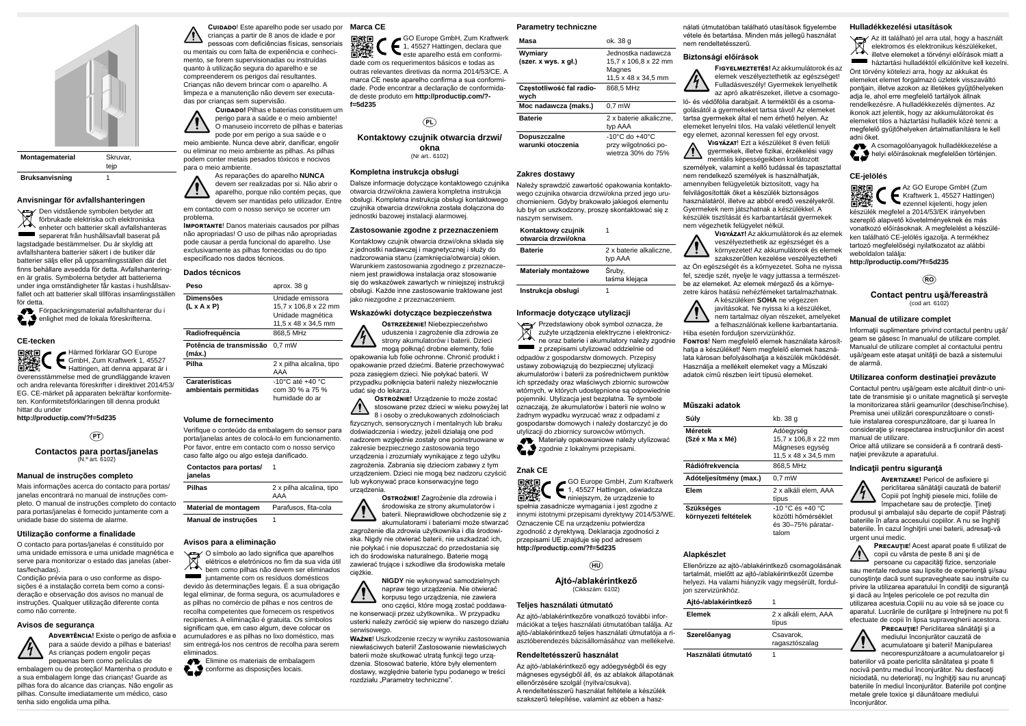**Montagematerial** Skruvar,



tejp

**Bruksanvisning** 1

#### **Anvisningar för avfallshanteringen**

Den vidstående symbolen betyder att förbrukade elektriska och elektroniska enheter och batterier skall avfallshanteras separerat från hushållsavfall baserat på lagstadgade bestämmelser. Du är skyldig att avfallshantera batterier säkert i de butiker där batterier säljs eller på uppsamlingsställen där det finns behållare avsedda för detta. Avfallshanteringen är gratis. Symbolerna betyder att batterierna under inga omständigheter får kastas i hushållsavfallet och att batterier skall tillföras insamlingsställen för detta.

Förpackningsmaterial avfallshanterar du i enlighet med de lokala föreskrifterna.

#### **CE-tecken**

Härmed förklarar GO Europe GmbH, Zum Kraftwerk 1, 45527 Hattingen, att denna apparat är i överensstämmelse med de grundläggande kraven och andra relevanta föreskrifter i direktivet 2014/53/ EG. CE-märket på apparaten bekräftar konformiteten. Konformitetsförklaringen till denna produkt hittar du under

**http://productip.com/?f=5d235**

### $(PT)$

**Contactos para portas/janelas** (N.º art. 6102)

#### **Manual de instruções completo**

Mais informações acerca do contacto para portas/ janelas encontrará no manual de instruções completo. O manual de instruções completo do contacto para portas/janelas é fornecido juntamente com a unidade base do sistema de alarme.

#### **Utilização conforme a finalidade**

O contacto para portas/janelas é constituído por uma unidade emissora e uma unidade magnética e serve para monitorizar o estado das janelas (abertas/fechadas).

Condição prévia para o uso conforme as disposições é a instalação correta bem como a consideração e observação dos avisos no manual de instruções. Qualquer utilização diferente conta como não corrente.

#### **Avisos de segurança**



As crianças podem engolir peças pequenas bem como películas de embalagem ou de proteção! Mantenha o produto e a sua embalagem longe das crianças! Guarde as pilhas fora do alcance das crianças. Não engolir as pilhas. Consulte imediatamente um médico, caso tenha sido engolida uma pilha.

**Cuidado**! Este aparelho pode ser usado por crianças a partir de 8 anos de idade e por pessoas com deficiências físicas, sensoriais ou mentais ou com falta de experiência e conhecimento, se forem supervisionadas ou instruídas quanto à utilização segura do aparelho e se compreenderem os perigos daí resultantes. Crianças não devem brincar com o aparelho. A limpeza e a manutenção não devem ser executadas por crianças sem supervisão.

## $(P<sub>L</sub>)$ **Kontaktowy czujnik otwarcia drzwi/ okna**

Dalsze informacje dotyczące kontaktowego czujnika otwarcia drzwi/okna zawiera kompletna instrukcja obsługi. Kompletna instrukcja obsługi kontaktowego czujnika otwarcia drzwi/okna została dołączona do jednostki bazowej instalacji alarmowej.

**Cuidado!** Pilhas e baterias constituem um perigo para a saúde e o meio ambiente! O manuseio incorreto de pilhas e baterias pode por em perigo a sua saúde e o meio ambiente. Nunca deve abrir, danificar, engolir

ou eliminar no meio ambiente as pilhas. As pilhas

podem conter metais pesados tóxicos e nocivos para o meio ambiente. As reparações do aparelho **NUNCA** devem ser realizadas por si. Não abrir o aparelho, porque não contém peças, que

devem ser mantidas pelo utilizador. Entre em contacto com o nosso serviço se ocorrer um problema. **Importante**! Danos materiais causados por pilhas

**Advertência!** Existe o perigo de asfixia e acumuladores e as pilhas no lixo doméstico, mas juntamente com os resíduos domésticos devido às determinações legais. É a sua obrigação legal eliminar, de forma segura, os acumuladores e as pilhas no comércio de pilhas e nos centros de recolha competentes que fornecem os respetivos recipientes. A eliminação é gratuita. Os símbolos significam que, em caso algum, deve colocar os sim entregá-los nos centros de recolha para serem eliminados.

> Elimine os materiais de embalagem conforme as disposições locais.

não apropriadas! O uso de pilhas não apropriadas pode causar a perda funcional do aparelho. Use exclusivamente as pilhas fornecidas ou do tipo especificado nos dados técnicos.

#### **Dados técnicos**

| Peso                                           | aprox. 38 g                                                                          |
|------------------------------------------------|--------------------------------------------------------------------------------------|
| <b>Dimensões</b><br>(L x A x P)                | Unidade emissora<br>15,7 x 106,8 x 22 mm<br>Unidade magnética<br>11.5 x 48 x 34.5 mm |
| Radiofrequência                                | 868,5 MHz                                                                            |
| Potência de transmissão<br>(máx.)              | $0.7$ mW                                                                             |
| Pilha                                          | 2 x pilha alcalina, tipo<br>AAA                                                      |
| <b>Caraterísticas</b><br>ambientais permitidas | -10°C até +40 °C<br>com 30 % a 75 %<br>humidade do ar                                |

**Ważne**! Uszkodzenie rzeczy w wyniku zastosowania niewłaściwych baterii! Zastosowanie niewłaściwych baterii może skutkować utratą funkcji tego urządzenia. Stosować baterie, które były elementem dostawy, względnie baterie typu podanego w treści rozdziału "Parametry techniczne".

#### **Volume de fornecimento**

Verifique o conteúdo da embalagem do sensor para porta/janelas antes de colocá-lo em funcionamento. Por favor, entre em contacto com o nosso serviço caso falte algo ou algo esteja danificado.

| Contactos para portas/<br>janelas |                                 |
|-----------------------------------|---------------------------------|
| <b>Pilhas</b>                     | 2 x pilha alcalina, tipo<br>AAA |
| Material de montagem              | Parafusos, fita-cola            |
| Manual de instruções              |                                 |

#### **Avisos para a eliminação**

O símbolo ao lado significa que aparelhos elétricos e eletrónicos no fim da sua vida útil bem como pilhas não devem ser eliminados

## **Marca CE**

GO Europe GmbH, Zum Kraftwerk 豁愁 1, 45527 Hattingen, declara que este aparelho está em conformidade com os requerimentos básicos e todas as outras relevantes diretivas da norma 2014/53/CE. A marca CE neste aparelho confirma a sua conformidade. Pode encontrar a declaração de conformidade deste produto em **http://productip.com/? f=5d235**

(Nr art.. 6102)

#### **Kompletna instrukcja obsługi**

#### **Zastosowanie zgodne z przeznaczeniem**

 $/!\backslash$ nem végezhetik felügyelet nélkül.

Kontaktowy czujnik otwarcia drzwi/okna składa się z jednostki nadawczej i magnetycznej i służy do nadzorowania stanu (zamknięcia/otwarcia) okien. Warunkiem zastosowania zgodnego z przeznaczeniem jest prawidłowa instalacja oraz stosowanie się do wskazówek zawartych w niniejszej instrukcji obsługi. Każde inne zastosowanie traktowane jest jako niezgodne z przeznaczeniem.

#### **Wskazówki dotyczące bezpieczeństwa**

**Ostrzeżenie!** Niebezpieczeństwo uduszenia i zagrożenie dla zdrowia ze strony akumulatorów i baterii. Dzieci mogą połknąć drobne elementy, folie

opakowania lub folie ochronne. Chronić produkt i opakowanie przed dziećmi. Baterie przechowywać poza zasięgiem dzieci. Nie połykać baterii. W przypadku połknięcia baterii należy niezwłocznie udać się do lekarza.

**Ostrożnie!** Urządzenie to może zostać stosowane przez dzieci w wieku powyżej lat 8 i osoby o zredukowanych zdolnościach fizycznych, sensorycznych i mentalnych lub braku doświadczenia i wiedzy, jeżeli działają one pod nadzorem względnie zostały one poinstruowane w zakresie bezpiecznego zastosowania tego urządzenia i zrozumiały wynikające z tego użytku zagrożenia. Zabrania się dzieciom zabawy z tym urządzeniem. Dzieci nie mogą bez nadzoru czyścić lub wykonywać prace konserwacyjne tego urządzenia.

> **Ostrożnie!** Zagrożenie dla zdrowia i środowiska ze strony akumulatorów i baterii. Nieprawidłowe obchodzenie się z akumulatorami i bateriami może stwarzać

zagrożenie dla zdrowia użytkownika i dla środowiska. Nigdy nie otwierać baterii, nie uszkadzać ich, nie połykać i nie dopuszczać do przedostania się ich do środowiska naturalnego. Baterie mogą zawierać trujące i szkodliwe dla środowiska metale ciężkie.

Orice altă utilizare se consideră a fi contrară destinației prevăzute a aparatului.

> **Avertizare!** Pericol de asfixiere şi periclitarea sănătății cauzată de baterii! Copiii pot înghiţi piesele mici, foliile de împachetare sau de protecție. Tineți

**NIGDY** nie wykonywać samodzielnych napraw tego urządzenia. Nie otwierać korpusu tego urządzenia, nie zawiera ono części, które mogą zostać poddawa-

ne konserwacji przez użytkownika.. W przypadku usterki należy zwrócić się wpierw do naszego działu serwisowego.

**PRECAUTIE!** Periclitarea sănătății și a mediului înconjurător cauzată de acumulatoare şi baterii! Manipularea necorespunzătoare a acumulatoarelor şi

#### **Parametry techniczne**

| Masa                             | ok. 38 g                           |
|----------------------------------|------------------------------------|
| Wymiary                          | Jednostka nadawcza                 |
| (szer. x wys. x gl.)             | 15,7 x 106,8 x 22 mm               |
|                                  | Magnes                             |
|                                  | 11.5 x 48 x 34.5 mm                |
| Częstotliwość fal radio-<br>wych | 868.5 MHz                          |
| Moc nadawcza (maks.)             | $0.7$ mW                           |
| <b>Baterie</b>                   | 2 x baterie alkaliczne,            |
|                                  | typ AAA                            |
| Dopuszczalne                     | $-10^{\circ}$ C do $+40^{\circ}$ C |
| warunki otoczenia                | przy wilgotności po-               |
|                                  | wietrza 30% do 75%                 |

#### **Zakres dostawy**

Należy sprawdzić zawartość opakowania kontaktowego czujnika otwarcia drzwi/okna przed jego uruchomieniem. Gdyby brakowało jakiegoś elementu lub był on uszkodzony, proszę skontaktować się z naszym serwisem.

| Kontaktowy czujnik<br>otwarcia drzwi/okna |                                    |
|-------------------------------------------|------------------------------------|
| <b>Baterie</b>                            | 2 x baterie alkaliczne,<br>typ AAA |
| Materiały montażowe                       | Śruby.<br>taśma klejaca            |
| Instrukcja obsługi                        |                                    |

#### **Informacje dotyczące utylizacji**

Przedstawiony obok symbol oznacza, że zużyte urządzenia elektryczne i elektroniczne oraz baterie i akumulatory należy zgodnie z przepisami utylizować oddzielnie od odpadów z gospodarstw domowych. Przepisy ustawy zobowiązują do bezpiecznej utylizacji akumulatorów i baterii za pośrednictwem punktów ich sprzedaży oraz właściwych zbiornic surowców wtórnych, w których udostępnione są odpowiednie pojemniki. Utylizacja jest bezpłatna. Te symbole oznaczają, że akumulatorów i baterii nie wolno w żadnym wypadku wyrzucać wraz z odpadami z gospodarstw domowych i należy dostarczyć je do utylizacji do zbiornicy surowców wtórnych. **WA** Materiały opakowaniowe należy utylizować zgodnie z lokalnymi przepisami.

### **Znak CE**



spełnia zasadnicze wymagania i jest zgodne z innymi istotnymi przepisami dyrektywy 2014/53/WE. Oznaczenie CE na urządzeniu potwierdza zgodność z dyrektywą. Deklaracja zgodności z przepisami UE znajduje się pod adresem **http://productip.com/?f=5d235**

# $(m)$

**Ajtó-/ablakérintkező** (Cikkszám: 6102)

#### **Teljes használati útmutató**

Az ajtó-/ablakérintkezőre vonatkozó további információkat a teljes használati útmutatóban találja. Az ajtó-/ablakérintkező teljes használati útmutatója a riasztóberendezés bázisállomásához van mellékelve.

#### **Rendeltetésszerű használat**

Az ajtó-/ablakérintkező egy adóegységből és egy mágneses egységből áll, és az ablakok állapotának ellenőrzésére szolgál (nyitva/csukva).

A rendeltetésszerű használat feltétele a készülék szakszerű telepítése, valamint az ebben a hasz-

nálati útmutatóban található utasítások figyelembe vétele és betartása. Minden más jellegű használat nem rendeltetésszerű.

#### **Biztonsági előírások**

**Figyelmeztetés!** Az akkumulátorok és az elemek veszélyeztethetik az egészséget! Fulladásveszély! Gyermekek lenyelhetik az apró alkatrészeket, illetve a csomagoló- és védőfólia darabjait. A terméktől és a csomagolásától a gyermekeket tartsa távol! Az elemeket tartsa gyermekek által el nem érhető helyen. Az elemeket lenyelni tilos. Ha valaki véletlenül lenyelt egy elemet, azonnal keressen fel egy orvost. **Vigyázat**! Ezt a készüléket 8 éven felüli gyermekek, illetve fizikai, érzékelési vagy mentális képességeikben korlátozott személyek, valamint a kellő tudással és tapasztattal nem rendelkező személyek is használhatják, amennyiben felügyeletük biztosított, vagy ha felvilágosították őket a készülék biztonságos használatáról, illetve az abból eredő veszélyekről. Gyermekek nem játszhatnak a készülékkel. A készülék tisztítását és karbantartását gyermekek

**Vigyázat!** Az akkumulátorok és az elemek veszélyeztethetik az egészséget és a környezetet! Az akkumulátorok és elemek szakszerűtlen kezelése veszélyeztetheti az Ön egészségét és a környezetet. Soha ne nyissa fel, szedje szét, nyelje le vagy juttassa a természetbe az elemeket. Az elemek mérgező és a környezetre káros hatású nehézfémeket tartalmazhatnak. A készüléken **SOHA** ne végezzen javításokat. Ne nyissa ki a készüléket,

nem tartalmaz olyan részeket, amelyeket a felhasználónak kellene karbantartania.

Hiba esetén forduljon szervizünkhöz. **Fontos**! Nem megfelelő elemek használata károsíthatja a készüléket! Nem megfelelő elemek használata károsan befolyásolhatja a készülék működését. Használja a mellékelt elemeket vagy a Műszaki adatok című részben leírt típusú elemeket.

#### **Műszaki adatok**

#### **Súly** kb. 38 g

Adóegység 15,7 x 106,8 x 22 mm Mágneses egység 11,5 x 48 x 34,5 mm **Rádiófrekvencia** 868,5 MHz

 $\overline{0.7 \text{ mW}}$ 

| Súly                   | ŀ |
|------------------------|---|
| Méretek                |   |
| (Szé x Ma x Mé)        |   |
|                        |   |
|                        |   |
| Rádiófrekvencia        | ٤ |
| Adóteljesítmény (max.) |   |
| Elem                   |   |
|                        |   |
| <b>Szükséges</b>       |   |
| környezeti feltételek  |   |
|                        | ć |

**Elem** 2 x alkáli elem, AAA típus

-10 °C és +40 °C közötti hőmérséklet és 30–75% páratartalom

#### **Alapkészlet**

Ellenőrizze az ajtó-/ablakérintkező csomagolásának

tartalmát, mielőtt az ajtó-/ablakérintkezőt üzembe helyezi. Ha valami hiányzik vagy megsérült, forduljon szervizünkhöz.

| Ajtó-/ablakérintkező |  |  |
|----------------------|--|--|
|----------------------|--|--|

| <b>Elemek</b>       | 2 x alkáli elem. AAA<br>típus |
|---------------------|-------------------------------|
| Szerelőanyag        | Csavarok.<br>ragasztószalag   |
| Használati útmutató |                               |

#### **Hulladékkezelési utasítások**

Az itt található jel arra utal, hogy a használt elektromos és elektronikus készülékeket, illetve elemeket a törvényi előírások miatt a háztartási hulladéktól elkülönítve kell kezelni. Önt törvény kötelezi arra, hogy az akkukat és elemeket elemet forgalmazó üzletek visszaváltó pontjain, illetve azokon az illetékes gyűjtőhelyeken adja le, ahol erre megfelelő tartályok állnak rendelkezésre. A hulladékkezelés díjmentes. Az ikonok azt jelentik, hogy az akkumulátorokat és elemeket tilos a háztartási hulladék közé tenni: a megfelelő gyűjtőhelyeken ártalmatlanításra le kell adni őket.

A csomagolóanyagok hulladékkezelése a helyi előírásoknak megfelelően történjen.

### **CE-jelölés**

Az GO Europe GmbH (Zum Kraftwerk 1, 45527 Hattingen) ezennel kijelenti, hogy jelen készülék megfelel a 2014/53/EK irányelvben szereplő alapvető követelményeknek és más vonatkozó előírásoknak. A megfelelést a készüléken található CE-jelölés igazolja. A termékhez tartozó megfelelőségi nyilatkozatot az alábbi weboldalon találja:

**http://productip.com/?f=5d235**



**Contact pentru uşă/fereastră** (cod art. 6102)

### **Manual de utilizare complet**

Informaţii suplimentare privind contactul pentru uşă/ geam se găsesc în manualul de utilizare complet. Manualul de utilizare complet al contactului pentru usă/geam este atasat unității de bază a sistemului de alarmă.

### **Utilizarea conform destinaţiei prevăzute**

Contactul pentru uşă/geam este alcătuit dintr-o unitate de transmisie şi o unitate magnetică şi serveşte la monitorizarea stării geamurilor (deschise/închise). Premisa unei utilizări corespunzătoare o constituie instalarea corespunzătoare, dar şi luarea în consideraţie şi respectarea instrucţiunilor din acest manual de utilizare.

#### **Indicaţii pentru siguranţă**



produsul şi ambalajul său departe de copii! Păstraţi bateriile în afara accesului copiilor. A nu se înghiti bateriile. În cazul înghiţirii unei baterii, adresaţi-vă urgent unui medic.



**Precauţie**! Acest aparat poate fi utilizat de copii cu vârsta de peste 8 ani şi de persoane cu capacităţi fizice, senzoriale

sau mentale reduse sau lipsite de experienţă şi/sau cunostinte dacă sunt supravegheate sau instruite cu privire la utilizarea aparatului în condiţii de siguranţă şi dacă au înţeles pericolele ce pot rezulta din utilizarea acestuia.Copiii nu au voie să se joace cu aparatul. Lucrările de curăţare şi întreţinere nu pot fi efectuate de copii în lipsa supravegherii acestora.



bateriilor vă poate periclita sănătatea şi poate fi nocivă pentru mediul înconjurător. Nu desfaceţi niciodată, nu deteriorați, nu înghițiți sau nu aruncați bateriile în mediul înconjurător. Bateriile pot conține metale grele toxice şi dăunătoare mediului înconjurător.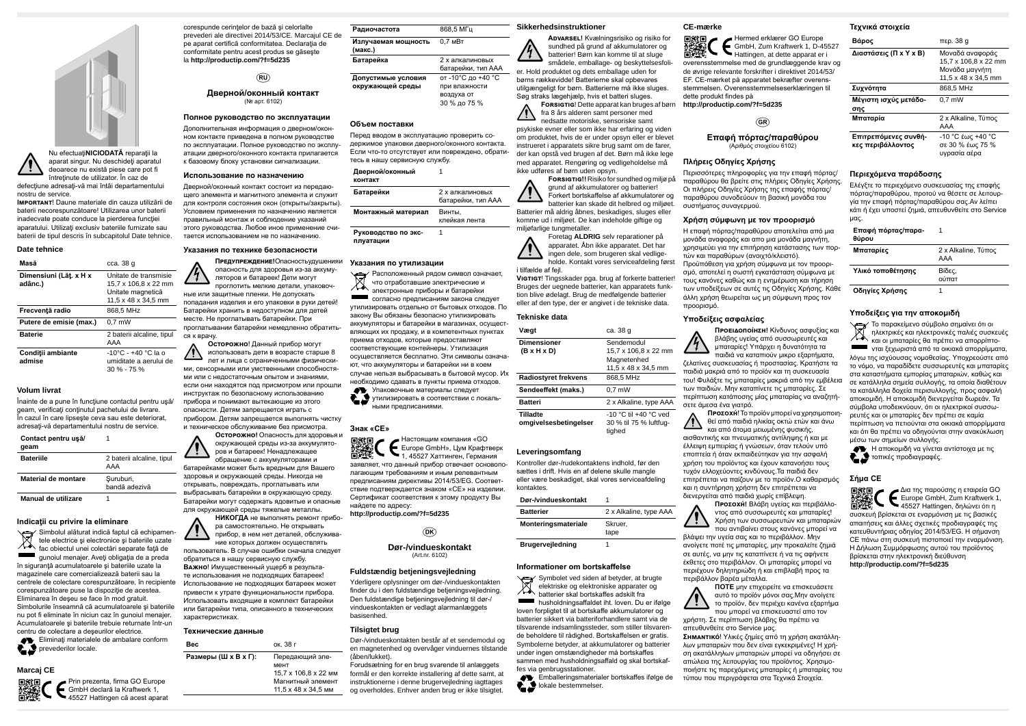



defecţiune adresaţi-vă mai întâi departamentului nostru de service.

**Important**! Daune materiale din cauza utilizării de baterii necorespunzătoare! Utilizarea unor baterii inadecvate poate conduce la pierderea funcţiei aparatului. Utilizaţi exclusiv bateriile furnizate sau baterii de tipul descris în subcapitolul Date tehnice.

Înainte de a pune în funcţiune contactul pentru uşă/ geam, verificaţi conţinutul pachetului de livrare. În cazul în care lipseşte ceva sau este deteriorat, adresati-vă departamentului nostru de service

#### **Date tehnice**

| Masă                              | cca. 38 g                                                                                 |
|-----------------------------------|-------------------------------------------------------------------------------------------|
| Dimensiuni (Lăt. x H x<br>adânc.) | Unitate de transmisie<br>15,7 x 106,8 x 22 mm<br>Unitate magnetică<br>11.5 x 48 x 34.5 mm |
| Frecventă radio                   | 868.5 MHz                                                                                 |
| Putere de emisie (max.)           | $0.7$ mW                                                                                  |
| <b>Baterie</b>                    | 2 baterii alcaline, tipul<br>AAA                                                          |
| Conditii ambiante<br>admise       | -10°C - +40 °C la o<br>umiditate a aerului de<br>$30\% - 75\%$                            |

#### **Volum livrat**

Simbolul alăturat indică faptul că echipamen-<br>X pele electrica ci ci și tele electrice şi electronice şi bateriile uzate fac obiectul unei colectări separate faţă de gunoiul menajer. Aveți obligația de a preda în siguranţă acumulatoarele şi bateriile uzate la magazinele care comercializează baterii sau la centrele de colectare corespunzătoare, în recipiente corespunzătoare puse la dispozitie de acestea. Eliminarea în deşeu se face în mod gratuit. Simbolurile înseamnă că acumulatoarele și bateriile nu pot fi eliminate în niciun caz în gunoiul menajer. Acumulatoarele şi bateriile trebuie returnate într-un centru de colectare a deşeurilor electrice.

Eliminați materialele de ambalare conform prevederilor locale.

| Contact pentru usă<br>qeam |                                  |
|----------------------------|----------------------------------|
| <b>Bateriile</b>           | 2 baterii alcaline, tipul<br>AAA |
| Material de montare        | Suruburi,<br>bandă adezivă       |
| Manual de utilizare        |                                  |

#### **Indicaţii cu privire la eliminare**

# **Marcaj CE**



Prin prezenta, firma GO Europe GmbH declară la Kraftwerk 1, 45527 Hattingen că acest aparat corespunde cerinţelor de bază şi celorlalte prevederi ale directivei 2014/53/CE. Marcajul CE de pe aparat certifică conformitatea. Declaraţia de conformitate pentru acest produs se găseşte la **http://productip.com/?f=5d235**

### $(RU)$

#### **Дверной/оконный контакт** (№ арт. 6102)

**Полное руководство по эксплуатации**

Дополнительная информация о дверном/оконном контакте приведена в полном руководстве по эксплуатации. Полное руководство по эксплуатации дверного/оконного контакта прилагается к базовому блоку установки сигнализации.

#### **Использование по назначению**

Дверной/оконный контакт состоит из передающего элемента и магнитного элемента и служит для контроля состояния окон (открыты/закрыты). Условием применения по назначению является правильный монтаж и соблюдение указаний этого руководства. Любое иное применение считается использованием не по назначению.

#### **Указания по технике безопасности**

**Предупреждение!** Опасность удушения и опасность для здоровья из-за аккумуляторов и батареек! Дети могут проглотить мелкие детали, упаковочные или защитные пленки. Не допускать попадания изделия и его упаковки в руки детей! Батарейки хранить в недоступном для детей месте. Не проглатывать батарейки. При проглатывании батарейки немедленно обратиться к врачу.

**Осторожно**! Данный прибор могут использовать дети в возрасте старше 8 лет и лица с ограниченными физическими, сенсорными или умственными способностями или с недостаточным опытом и знаниями если они находятся под присмотром или прошли инструктаж по безопасному использованию прибора и понимают вытекающие из этого опасности. Детям запрещается играть с прибором. Детям запрещается выполнять чистку и техническое обслуживание без присмотра.

**Осторожно!** Опасность для здоровья и окружающей среды из-за аккумуляторов и батареек! Ненадлежащее обращение с аккумуляторами и батарейками может быть вредным для Вашего здоровья и окружающей среды. Никогда не открывать, повреждать, проглатывать или выбрасывать батарейки в окружающую среду. Батарейки могут содержать ядовитые и опасные для окружающей среды тяжелые металлы.

VIGTIGT! Tingsskader pga. brug af forkerte batterier! Bruges der uegnede batterier, kan apparatets funktion blive ødelagt. Brug de medfølgende batterier eller af den type, der er angivet i de tekniske data.

**НИКОГДА** не выполнять ремонт прибора самостоятельно. Не открывать прибор, в нем нет деталей, обслуживание которых должен осуществлять пользователь. В случае ошибки сначала следует обратиться в нашу сервисную службу. **Важно**! Имущественный ущерб в результате использования не подходящих батареек! Использование не подходящих батареек может привести к утрате функциональности прибора. Использовать входящие в комплект батарейки или батарейки типа, описанного в технических характеристиках.

#### **Технические данные**

| Bec                  | ок. 38 г             |
|----------------------|----------------------|
| Размеры (Ш х В х Г): | Передающий эле-      |
|                      | мент                 |
|                      | 15.7 x 106.8 x 22 MM |
|                      | Магнитный элемент    |
|                      | 11,5 x 48 x 34,5 MM  |

| Радиочастота                   | 868.5 MFu          |
|--------------------------------|--------------------|
| Излучаемая мощность<br>(макс.) | 0.7 <sub>MBT</sub> |
| Батарейка                      | 2 х алкалиновых    |

Symbolet ved siden af betyder, at brugte elektriske og elektroniske apparater og ⋌⋨ batterier skal bortskaffes adskilt fra **husholdningsaffaldet iht. loven. Du er ifølge** loven forpligtet til at bortskaffe akkumulatorer og batterier sikkert via batteriforhandlere samt via de tilsvarende indsamlingssteder, som stiller tilsvarende beholdere til rådighed. Bortskaffelsen er gratis. Symbolerne betyder, at akkumulatorer og batterier under ingen omstændigheder må bortskaffes sammen med husholdningsaffald og skal bortskaffes via genbrugsstationer.

**Emballeringsmaterialer bortskaffes ifølge de Lackale bestemmelser.** 

|                    | батарейки, тип ААА |
|--------------------|--------------------|
| Допустимые условия | от -10°С до +40 °С |
| окружающей среды   | при влажности      |
|                    | воздуха от         |
|                    | 30 % до 75 %       |

#### **Объем поставки**

Перед вводом в эксплуатацию проверить содержимое упаковки дверного/оконного контакта. Если что-то отсутствует или повреждено, обратитесь в нашу сервисную службу.

### **Дверной/оконный**

1

| контакт             |                                       |
|---------------------|---------------------------------------|
| Батарейки           | 2 х алкалиновых<br>батарейки, тип ААА |
| Монтажный материал  | Винты.<br>клейкая лента               |
| Руководство по экс- |                                       |

**Руководство по эксплуатации**

#### **Указания по утилизации**

Расположенный рядом символ означает, что отработавшие электрические и электронные приборы и батарейки согласно предписаниям закона следует утилизировать отдельно от бытовых отходов. По закону Вы обязаны безопасно утилизировать аккумуляторы и батарейки в магазинах, осуществляющих их продажу, и в компетентных пунктах приема отходов, которые предоставляют соответствующие контейнеры. Утилизация осуществляется бесплатно. Эти символы означают, что аккумуляторы и батарейки ни в коем случае нельзя выбрасывать в бытовой мусор. Их необходимо сдавать в пункты приема отходов.

Упаковочные материалы следует утилизировать в соответствии с локальными предписаниями.

#### **Знак «CE»**

Настоящим компания «GO **Europe GmbH», Цум Крафтверк** 器類 1, 45527 Хаттинген, Германия заявляет, что данный прибор отвечает основополагающим требованиям и иным релевантным предписаниям директивы 2014/53/EG. Соответствие подтверждается знаком «CE» на изделии. Сертификат соответствия к этому продукту Вы найдете по адресу:

**http://productip.com/?f=5d235**

### $(DK)$

**Dør-/vindueskontakt** (Art.nr. 6102)

#### **Fuldstændig betjeningsvejledning**

Yderligere oplysninger om dør-/vindueskontakten finder du i den fuldstændige betjeningsvejledning. Den fuldstændige betjeningsvejledning til dør-/ vindueskontakten er vedlagt alarmanlæggets basisenhed.

#### **Tilsigtet brug**

Dør-/vindueskontakten består af et sendemodul og en magnetenhed og overvåger vinduernes tilstande (åben/lukket).

Forudsætning for en brug svarende til anlæggets formål er den korrekte installering af dette samt, at instruktionerne i denne brugervejledning iagttages og overholdes. Enhver anden brug er ikke tilsigtet.

#### **Sikkerhedsinstruktioner**



batterier! Børn kan komme til at sluge smådele, emballage- og beskyttelsesfolier. Hold produktet og dets emballage uden for børns rækkevidde! Batterierne skal opbevares utilgængeligt for børn. Batterierne må ikke sluges. Søg straks lægehjælp, hvis et batteri sluges.

**Forsigtig**! Dette apparat kan bruges af børn fra 8 års alderen samt personer med nedsatte motoriske, sensoriske samt psykiske evner eller som ikke har erfaring og viden

om produktet, hvis de er under opsyn eller er blevet instrueret i apparatets sikre brug samt om de farer, der kan opstå ved brugen af det. Børn må ikke lege med apparatet. Rengøring og vedligeholdelse må ikke udføres af børn uden opsyn.

**Forsigtig!!** Risiko for sundhed og miljø på grund af akkumulatorer og batterier! Forkert bortskaffelse af akkumulatorer og batterier kan skade dit helbred og miljøet.

Batterier må aldrig åbnes, beskadiges, sluges eller komme ud i miljøet. De kan indeholde giftige og miljøfarlige tungmetaller.

Foretag **ALDRIG** selv reparationer på apparatet. Åbn ikke apparatet. Det har ingen dele, som brugeren skal vedligeholde. Kontakt vores serviceafdeling først i tilfælde af fejl.

#### **Tekniske data**

| Vægt                        | ca. 38 g               |
|-----------------------------|------------------------|
| <b>Dimensioner</b>          | Sendemodul             |
| $(B \times H \times D)$     | 15,7 x 106,8 x 22 mm   |
|                             | Magnetenhed            |
|                             | 11,5 x 48 x 34,5 mm    |
| <b>Radiostyret frekvens</b> | 868,5 MHz              |
| Sendeeffekt (maks.)         | $0.7$ mW               |
| <b>Batteri</b>              | 2 x Alkaline, type AAA |
| Tilladte                    | -10 °C til +40 °C ved  |
| omgivelsesbetingelser       | 30 % til 75 % luftfug- |
|                             | tighed                 |

#### **Leveringsomfang**

Kontroller dør-/rudekontaktens indhold, før den sættes i drift. Hvis en af delene skulle mangle eller være beskadiget, skal vores serviceafdeling kontaktes.

| Dør-/vindueskontakt     |                        |
|-------------------------|------------------------|
| <b>Batterier</b>        | 2 x Alkaline, type AAA |
| Monteringsmateriale     | Skruer.                |
|                         | tape                   |
| <b>Brugervejledning</b> |                        |

#### **Informationer om bortskaffelse**

#### **CE-mærke**

Hermed erklærer GO Europe GmbH, Zum Kraftwerk 1, D-45527 Hattingen, at dette apparat er i

overensstemmelse med de grundlæggende krav og de øvrige relevante forskrifter i direktivet 2014/53/ EF. CE-mærket på apparatet bekræfter overensstemmelsen. Overensstemmelseserklæringen til dette produkt findes på **http://productip.com/?f=5d235**

 $GR)$ 

**Επαφή πόρτας/παραθύρου** (Αριθμός στοιχείου 6102)

#### **Πλήρεις Οδηγίες Χρήσης**

Περισσότερες πληροφορίες για την επαφή πόρτας/ παραθύρου θα βρείτε στις πλήρεις Οδηγίες Χρήσης. Οι πλήρεις Οδηγίες Χρήσης της επαφής πόρτας/ παραθύρου συνοδεύουν τη βασική μονάδα του συστήματος συναγερμού.

### **Χρήση σύμφωνη με τον προορισμό**

Η επαφή πόρτας/παραθύρου αποτελείται από μια μονάδα αναφοράς και απο μια μονάδα μαγνήτη, χρησιμεύει για την επιτήρηση κατάστασης των πορτών και παραθύρων (ανοιχτό/κλειστό). Προϋπόθεση για χρήση σύμφωνα με τον προορισμό, αποτελεί η σωστή εγκατάσταση σύμφωνα με τους κανόνες καθώς και η ενημέρωση και τήρηση των υποδείξεων σε αυτές τις Οδηγίες Χρήσης. Κάθε άλλη χρήση θεωρείται ως μη σύμφωνη προς τον προορισμό.

#### **Υποδείξεις ασφαλείας**

**Προειδοποίηση!** Κίνδυνος ασφυξίας και βλάβης υγείας από συσσωρευτές και μπαταρίες! Υπάρχει η δυνατότητα τα παιδιά να καταπιούν μικρο εξαρτήματα, ζελατίνες συσκευασίας ή προστασίας. Κρατήστε τα παιδιά μακριά από το προϊόν και τη συσκευασία του! Φυλάξτε τις μπαταρίες μακριά από την εμβέλεια των παιδιών. Μην καταπίνετε τις μπαταρίες. Σε περίπτωση κατάποσης μίας μπαταρίας να αναζητήσετε άμεσα ένα γιατρό.

**Προσοχή**! Το προϊόν μπορεί να χρησιμοποιηθεί από παιδιά ηλικίας οκτώ ετών και άνω και από άτομα μειωμένης φυσικής,

αισθαντικής και πνευματικής αντίληψης ή και με έλλειψη εμπειρίας ή γνώσεων, όταν τελούν υπό εποπτεία ή όταν εκπαιδεύτηκαν για την ασφαλή χρήση του προϊόντος και έχουν κατανοήσει τους τυχόν ελλοχεύοντες κινδύνους.Τα παιδιά δεν επιτρέπεται να παίζουν με το προϊόν.Ο καθαρισμός και η συντήρηση χρήστη δεν επιτρέπεται να

διενεργείται από παιδιά χωρίς επίβλεψη. **Προσοχή!** Βλάβη υγείας και περιβάλλοντος από συσσωρευτές και μπαταρίες! Χρήση των συσσωρευτών και μπαταριών που αντιβαίνει στους κανόνες μπορεί να

βλάψει την υγεία σας και το περιβάλλον. Μην ανοίγετε ποτέ τις μπαταρίες, μην προκαλείτε ζημιά σε αυτές, να μην τις καταπίνετε ή να τις αφήνετε έκθετες στο περιβάλλον. Οι μπαταρίες μπορεί να περιέχουν δηλητηριώδη ή και επιβλαβή προς τα

περιβάλλον βαρέα μέταλλα. **ΠΟΤΕ** μην επιχειρείτε να επισκευάσετε

αυτό το προϊόν µόνοι σας.Μην ανοίγετε το προϊόν, δεν περιέχει κανένα εξαρτήμα που μπορεί να επισκευαστεί απο τον

χρήστη. Σε περίπτωση βλάβης θα πρέπει να απευθυνθείτε στο Service μας. **Σημαντικό**! Υλικές ζημίες από τη χρήση ακατάλληλων μπαταριών που δεν είναι εγκεκριμένες! Η χρήση ακατάλληλων μπαταριών μπορεί να οδηγήσει σε απώλεια της λειτουργίας του προϊόντος. Χρησιμοποιήστε τις παρεχόμενες μπαταρίες ή μπαταρίες του τύπου που περιγράφεται στα Τεχνικά Στοιχεία.

### **Τεχνικά στοιχεία**

| Βάρος                                     | περ. 38 g                                                                        |
|-------------------------------------------|----------------------------------------------------------------------------------|
| Διαστάσεις (Π x Υ x Β)                    | Μοναδά αναφοράς<br>15,7 x 106,8 x 22 mm<br>Μονάδα μαγνήτη<br>11.5 x 48 x 34.5 mm |
| Συχνότητα                                 | 868.5 MHz                                                                        |
| Μέγιστη ισχύς μετάδο-<br>σης              | $0.7$ mW                                                                         |
| Μπαταρία                                  | 2 x Alkaline, Τύπος<br>AAA                                                       |
| Επιτρεπόμενες συνθή-<br>κες περιβάλλοντος | -10 °C έως +40 °C<br>σε 30 % έως 75 %<br>υνρασία αέρα                            |

### **Περιεχόμενα παράδοσης**

Ελέγξτε το περιεχόμενο συσκευασίας της επαφής πόρτας/παραθύρου, προτού να θέσετε σε λειτουργία την επαφή πόρτας/παραθύρου σας.Αν λείπει κάτι ή έχει υποστεί ζημιά, απευθυνθείτε στο Service μας.

| Επαφή πόρτας/παρα- |  |
|--------------------|--|
| θύρου              |  |
|                    |  |

1

| Μπαταρίες         | 2 x Alkaline, Τύπος<br>AAA |
|-------------------|----------------------------|
| Υλικό τοποθέτησης | Βίδες,<br>ούπατ            |
| Οδηγίες Χρήσης    |                            |

### **Υποδείξεις για την αποκομιδή**

Το παρακείμενο σύμβολο σημαίνει ότι οι ηλεκτρικές και ηλεκτρονικές παλιές συσκευές και οι μπαταρίες θα πρέπει να απορρίπτονται ξεχωριστά από τα οικιακά απορρίμματα, λόγω της ισχύουσας νομοθεσίας. Υποχρεούστε από το νόμο, να παραδίδετε συσσωρευτές και μπαταρίες στα καταστήματα εμπορίας μπαταριών, καθώς και σε κατάλληλα σημεία συλλογής, τα οποία διαθέτουν τα κατάλληλα δοχεία περισυλλογής, προς ασφαλή αποκομιδή. Η αποκομιδή διενεργείται δωρεάν. Τα σύμβολα υποδεικνύουν, ότι οι ηλεκτρικοί συσσωρευτές και οι μπαταρίες δεν πρέπει σε καμία περίπτωση να πετιούνται στα οικιακά απορρίμματα και ότι θα πρέπει να οδηγούνται στην ανακύκλωση μέσω των σημείων συλλογής.

Η αποκομιδή να γίνεται αντίστοιχα με τις τοπικές προδιαγραφές.

**Σήμα CE** Δια της παρούσης η εταιρεία GO Europe GmbH, Zum Kraftwerk 1, 45527 Hattingen, δηλώνει ότι η συσκευή βρίσκεται σε εναρμόνιση με τις βασικές απαιτήσεις και άλλες σχετικές προδιαγραφές της κατευθυντήριας οδηγίας 2014/53/EG. Η σήμανση CE πάνω στη συσκευή πιστοποιεί την εναρμόνιση. Η Δήλωση Συμμόρφωσης αυτού του προϊόντος βρίσκεται στην ηλεκτρονική διεύθυνση **http://productip.com/?f=5d235**